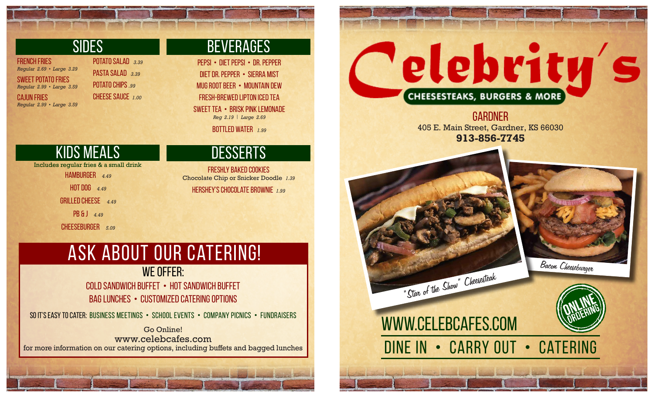## **SIDES**

french fries *Regular 2.69 • Large 3.29*  sweet potato fries *Regular 2.99 • Large 3.59* 

cajun fries *Regular 2.99 • Large 3.59*

# potato salad *3.39*

pasta salad *3.39*  potato chips *.99* cheese sauce *1.00*

# **BEVERAGES**

pepsi • diet pepsi • dr. pepper diet dr. pepper • Sierra Mist Mug root beer • mountain dew fresh-brewed lipton iced tea sweet tea • brisk pink lemonade *Reg 2.19 | Large 2.69*

bottled water *1.99*

# kids meals desserts

Includes regular fries & a small drink

hamburger *4.49* 

hot dog *4.49*

grilled cheese *4.49*

pb & j *4.49*

cheeseburger *5.09*

freshly baked cookies Chocolate Chip or Snicker Doodle *1.39* Hershey's chocolate brownie *1.99*

# ask about our catering!

## WE OFFER: cold sandwich buffet • Hot sandwich buffet

bag lunches • customized catering options

so it's easy to cater: Business Meetings • School Events • Company Picnics • Fundraisers

Go Online! www.celebcafes.com for more information on our catering options, including buffets and bagged lunches

# elebrity's **CHEESESTEAKS, BURGERS & MORE**

**GARDNER** 405 E. Main Street, Gardner, KS 66030 **913-856-7745**





www.celebcafes.com DINE IN • CARRY OUT • CATERING

"Star of the Show" Cheesesteak